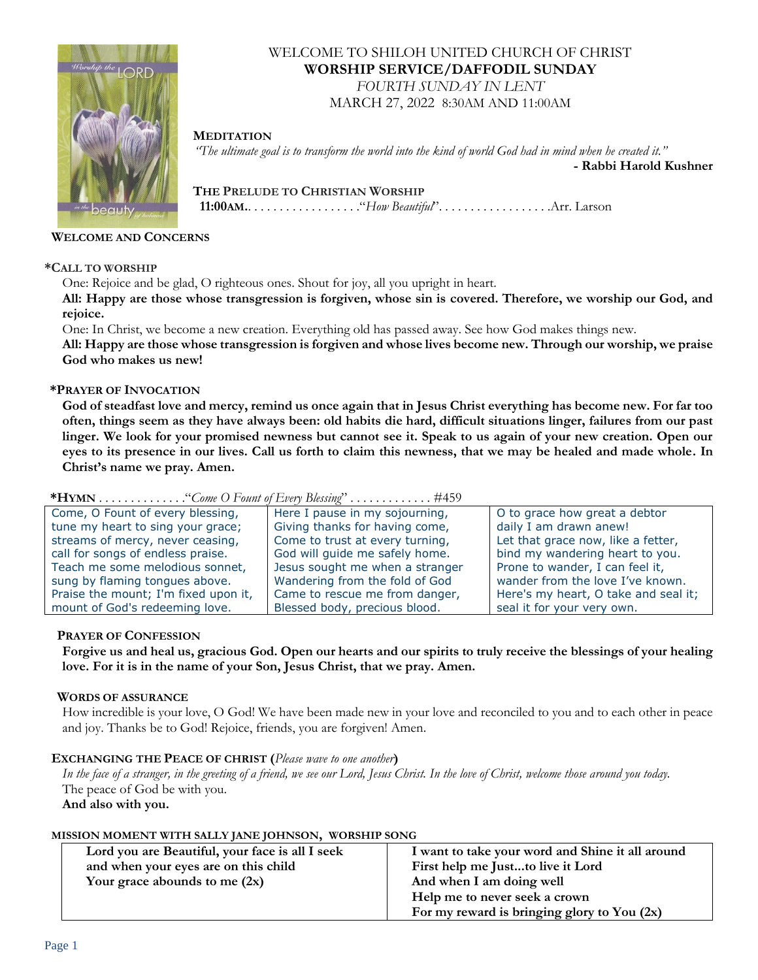

# WELCOME TO SHILOH UNITED CHURCH OF CHRIST **WORSHIP SERVICE/DAFFODIL SUNDAY**

*FOURTH SUNDAY IN LENT* MARCH 27, 2022 8:30AM AND 11:00AM

# **MEDITATION**

 *"The ultimate goal is to transform the world into the kind of world God had in mind when he created it."* 

**- Rabbi Harold Kushner**

 **THE PRELUDE TO CHRISTIAN WORSHIP 11:00AM.**. . . . . . . . . . . . . . . . . ."*How Beautiful*". . . . . . . . . . . . . . . . . .Arr. Larson

## **WELCOME AND CONCERNS**

## **\*CALL TO WORSHIP**

One: Rejoice and be glad, O righteous ones. Shout for joy, all you upright in heart.

**All: Happy are those whose transgression is forgiven, whose sin is covered. Therefore, we worship our God, and rejoice.**

One: In Christ, we become a new creation. Everything old has passed away. See how God makes things new.

**All: Happy are those whose transgression is forgiven and whose lives become new. Through our worship, we praise God who makes us new!**

## **\*PRAYER OF INVOCATION**

**God of steadfast love and mercy, remind us once again that in Jesus Christ everything has become new. For far too often, things seem as they have always been: old habits die hard, difficult situations linger, failures from our past linger. We look for your promised newness but cannot see it. Speak to us again of your new creation. Open our eyes to its presence in our lives. Call us forth to claim this newness, that we may be healed and made whole. In Christ's name we pray. Amen.**

| Come, O Fount of every blessing,     | Here I pause in my sojourning,  | O to grace how great a debtor        |  |
|--------------------------------------|---------------------------------|--------------------------------------|--|
| tune my heart to sing your grace;    | Giving thanks for having come,  | daily I am drawn anew!               |  |
| streams of mercy, never ceasing,     | Come to trust at every turning, | Let that grace now, like a fetter,   |  |
| call for songs of endless praise.    | God will guide me safely home.  | bind my wandering heart to you.      |  |
| Teach me some melodious sonnet,      | Jesus sought me when a stranger | Prone to wander, I can feel it,      |  |
| sung by flaming tongues above.       | Wandering from the fold of God  | wander from the love I've known.     |  |
| Praise the mount; I'm fixed upon it, | Came to rescue me from danger,  | Here's my heart, O take and seal it; |  |
| mount of God's redeeming love.       | Blessed body, precious blood.   | seal it for your very own.           |  |

# **\*HYMN** . . . . . . . . . . . . . ."*Come O Fount of Every Blessing*" . . . . . . . . . . . . . #459

### **PRAYER OF CONFESSION**

**Forgive us and heal us, gracious God. Open our hearts and our spirits to truly receive the blessings of your healing love. For it is in the name of your Son, Jesus Christ, that we pray. Amen.**

## **WORDS OF ASSURANCE**

How incredible is your love, O God! We have been made new in your love and reconciled to you and to each other in peace and joy. Thanks be to God! Rejoice, friends, you are forgiven! Amen.

### **EXCHANGING THE PEACE OF CHRIST (***Please wave to one another***)**

*In the face of a stranger, in the greeting of a friend, we see our Lord, Jesus Christ. In the love of Christ, welcome those around you today.* The peace of God be with you. **And also with you.**

**MISSION MOMENT WITH SALLY JANE JOHNSON, WORSHIP SONG**

| Lord you are Beautiful, your face is all I seek | I want to take your word and Shine it all around |
|-------------------------------------------------|--------------------------------------------------|
| and when your eyes are on this child            | First help me Justto live it Lord                |
| Your grace abounds to me $(2x)$                 | And when I am doing well                         |
|                                                 | Help me to never seek a crown                    |
|                                                 | For my reward is bringing glory to You $(2x)$    |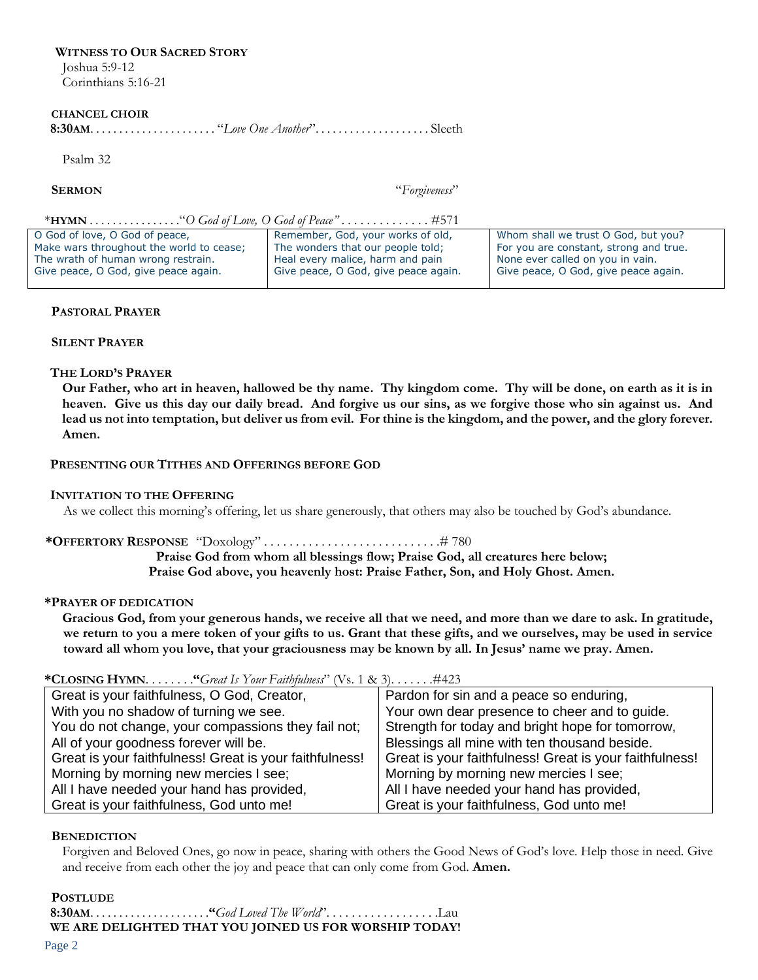### **WITNESS TO OUR SACRED STORY** Joshua 5:9-12

Corinthians 5:16-21

#### **CHANCEL CHOIR**

 **8:30AM**. . . . . . . . . . . . . . . . . . . . . . "*Love One Another*". . . . . . . . . . . . . . . . . . . . Sleeth

Psalm 32

**SERMON** "*Forgiveness*"

#### \***HYMN** . . . . . . . . . . . . . . . ."*O God of Love, O God of Peace" . . . . . . . . . . . .* . . #571

| O God of love, O God of peace,           | Remember, God, your works of old,    | Whom shall we trust O God, but you?    |
|------------------------------------------|--------------------------------------|----------------------------------------|
| Make wars throughout the world to cease; | The wonders that our people told;    | For you are constant, strong and true. |
| The wrath of human wrong restrain.       | Heal every malice, harm and pain     | None ever called on you in vain.       |
| Give peace, O God, give peace again.     | Give peace, O God, give peace again. | Give peace, O God, give peace again.   |
|                                          |                                      |                                        |

#### **PASTORAL PRAYER**

## **SILENT PRAYER**

### **THE LORD'S PRAYER**

**Our Father, who art in heaven, hallowed be thy name. Thy kingdom come. Thy will be done, on earth as it is in heaven. Give us this day our daily bread. And forgive us our sins, as we forgive those who sin against us. And lead us not into temptation, but deliver us from evil. For thine is the kingdom, and the power, and the glory forever. Amen.**

### **PRESENTING OUR TITHES AND OFFERINGS BEFORE GOD**

#### **INVITATION TO THE OFFERING**

As we collect this morning's offering, let us share generously, that others may also be touched by God's abundance.

### **\*OFFERTORY RESPONSE** "Doxology" . . . . . . . . . . . . . . . . . . . . . . . . . . . .# 780

**Praise God from whom all blessings flow; Praise God, all creatures here below; Praise God above, you heavenly host: Praise Father, Son, and Holy Ghost. Amen.**

#### **\*PRAYER OF DEDICATION**

**Gracious God, from your generous hands, we receive all that we need, and more than we dare to ask. In gratitude, we return to you a mere token of your gifts to us. Grant that these gifts, and we ourselves, may be used in service toward all whom you love, that your graciousness may be known by all. In Jesus' name we pray. Amen.**

### **\*CLOSING HYMN**. . . . . . . .**"***Great Is Your Faithfulness*" (Vs. 1 & 3). . . . . . .#423

| Great is your faithfulness, O God, Creator,             | Pardon for sin and a peace so enduring,                 |
|---------------------------------------------------------|---------------------------------------------------------|
| With you no shadow of turning we see.                   | Your own dear presence to cheer and to guide.           |
| You do not change, your compassions they fail not;      | Strength for today and bright hope for tomorrow,        |
| All of your goodness forever will be.                   | Blessings all mine with ten thousand beside.            |
| Great is your faithfulness! Great is your faithfulness! | Great is your faithfulness! Great is your faithfulness! |
| Morning by morning new mercies I see;                   | Morning by morning new mercies I see;                   |
| All I have needed your hand has provided,               | All I have needed your hand has provided,               |
| Great is your faithfulness, God unto me!                | Great is your faithfulness, God unto me!                |

### **BENEDICTION**

Forgiven and Beloved Ones, go now in peace, sharing with others the Good News of God's love. Help those in need. Give and receive from each other the joy and peace that can only come from God. **Amen.**

### **POSTLUDE**

 **8:30AM**. . . . . . . . . . . . . . . . . . . . .**"***God Loved The World*". . . . . . . . . . . . . . . . . .Lau  **WE ARE DELIGHTED THAT YOU JOINED US FOR WORSHIP TODAY!**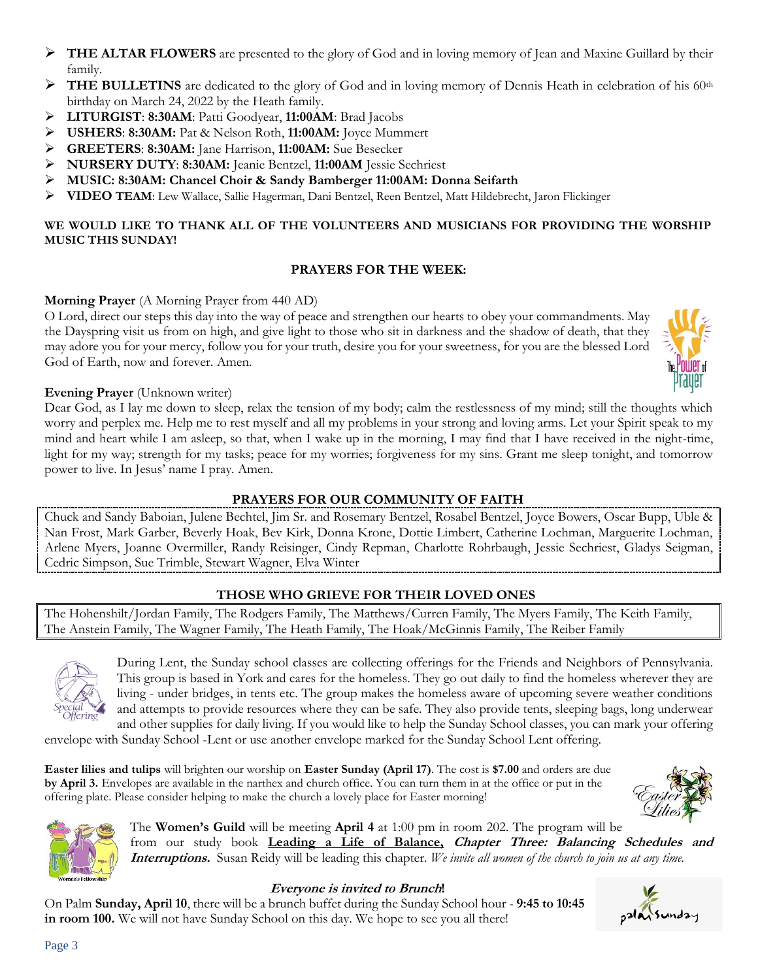- ➢ **THE ALTAR FLOWERS** are presented to the glory of God and in loving memory of Jean and Maxine Guillard by their family.
- ➢ **THE BULLETINS** are dedicated to the glory of God and in loving memory of Dennis Heath in celebration of his 60th birthday on March 24, 2022 by the Heath family.
- ➢ **LITURGIST**: **8:30AM**: Patti Goodyear, **11:00AM**: Brad Jacobs
- ➢ **USHERS**: **8:30AM:** Pat & Nelson Roth, **11:00AM:** Joyce Mummert
- ➢ **GREETERS**: **8:30AM:** Jane Harrison, **11:00AM:** Sue Besecker
- ➢ **NURSERY DUTY**: **8:30AM:** Jeanie Bentzel, **11:00AM** Jessie Sechriest
- ➢ **MUSIC: 8:30AM: Chancel Choir & Sandy Bamberger 11:00AM: Donna Seifarth**
- ➢ **VIDEO TEAM**: Lew Wallace, Sallie Hagerman, Dani Bentzel, Reen Bentzel, Matt Hildebrecht, Jaron Flickinger

# **WE WOULD LIKE TO THANK ALL OF THE VOLUNTEERS AND MUSICIANS FOR PROVIDING THE WORSHIP MUSIC THIS SUNDAY!**

# **PRAYERS FOR THE WEEK:**

# **Morning Prayer** (A Morning Prayer from 440 AD)

O Lord, direct our steps this day into the way of peace and strengthen our hearts to obey your commandments. May the Dayspring visit us from on high, and give light to those who sit in darkness and the shadow of death, that they may adore you for your mercy, follow you for your truth, desire you for your sweetness, for you are the blessed Lord God of Earth, now and forever. Amen.



# **Evening Prayer** (Unknown writer)

Dear God, as I lay me down to sleep, relax the tension of my body; calm the restlessness of my mind; still the thoughts which worry and perplex me. Help me to rest myself and all my problems in your strong and loving arms. Let your Spirit speak to my mind and heart while I am asleep, so that, when I wake up in the morning, I may find that I have received in the night-time, light for my way; strength for my tasks; peace for my worries; forgiveness for my sins. Grant me sleep tonight, and tomorrow power to live. In Jesus' name I pray. Amen.

# **PRAYERS FOR OUR COMMUNITY OF FAITH**

Chuck and Sandy Baboian, Julene Bechtel, Jim Sr. and Rosemary Bentzel, Rosabel Bentzel, Joyce Bowers, Oscar Bupp, Uble & Nan Frost, Mark Garber, Beverly Hoak, Bev Kirk, Donna Krone, Dottie Limbert, Catherine Lochman, Marguerite Lochman, Arlene Myers, Joanne Overmiller, Randy Reisinger, Cindy Repman, Charlotte Rohrbaugh, Jessie Sechriest, Gladys Seigman, Cedric Simpson, Sue Trimble, Stewart Wagner, Elva Winter

# **THOSE WHO GRIEVE FOR THEIR LOVED ONES**

The Hohenshilt/Jordan Family, The Rodgers Family, The Matthews/Curren Family, The Myers Family, The Keith Family, The Anstein Family, The Wagner Family, The Heath Family, The Hoak/McGinnis Family, The Reiber Family



During Lent, the Sunday school classes are collecting offerings for the Friends and Neighbors of Pennsylvania. This group is based in York and cares for the homeless. They go out daily to find the homeless wherever they are living - under bridges, in tents etc. The group makes the homeless aware of upcoming severe weather conditions and attempts to provide resources where they can be safe. They also provide tents, sleeping bags, long underwear and other supplies for daily living. If you would like to help the Sunday School classes, you can mark your offering

envelope with Sunday School -Lent or use another envelope marked for the Sunday School Lent offering.

**Easter lilies and tulips** will brighten our worship on **Easter Sunday (April 17)**. The cost is **\$7.00** and orders are due **by April 3.** Envelopes are available in the narthex and church office. You can turn them in at the office or put in the offering plate. Please consider helping to make the church a lovely place for Easter morning!





The **Women's Guild** will be meeting **April 4** at 1:00 pm in room 202. The program will be from our study book **Leading a Life of Balance, Chapter Three: Balancing Schedules and Interruptions.** Susan Reidy will be leading this chapter*. We invite all women of the church to join us at any time.*

# **Everyone is invited to Brunch!**

On Palm **Sunday, April 10**, there will be a brunch buffet during the Sunday School hour - **9:45 to 10:45 in room 100.** We will not have Sunday School on this day. We hope to see you all there!